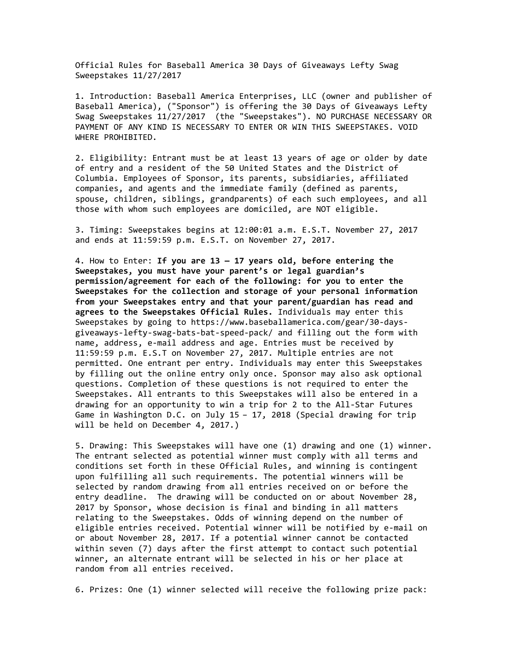Official Rules for Baseball America 30 Days of Giveaways Lefty Swag Sweepstakes 11/27/2017

1. Introduction: Baseball America Enterprises, LLC (owner and publisher of Baseball America), ("Sponsor") is offering the 30 Days of Giveaways Lefty Swag Sweepstakes 11/27/2017 (the "Sweepstakes"). NO PURCHASE NECESSARY OR PAYMENT OF ANY KIND IS NECESSARY TO ENTER OR WIN THIS SWEEPSTAKES. VOID WHERE PROHIBITED.

2. Eligibility: Entrant must be at least 13 years of age or older by date of entry and a resident of the 50 United States and the District of Columbia. Employees of Sponsor, its parents, subsidiaries, affiliated companies, and agents and the immediate family (defined as parents, spouse, children, siblings, grandparents) of each such employees, and all those with whom such employees are domiciled, are NOT eligible.

3. Timing: Sweepstakes begins at 12:00:01 a.m. E.S.T. November 27, 2017 and ends at 11:59:59 p.m. E.S.T. on November 27, 2017.

4. How to Enter: **If you are 13 — 17 years old, before entering the Sweepstakes, you must have your parent's or legal guardian's permission/agreement for each of the following: for you to enter the Sweepstakes for the collection and storage of your personal information from your Sweepstakes entry and that your parent/guardian has read and agrees to the Sweepstakes Official Rules.** Individuals may enter this Sweepstakes by going to https://www.baseballamerica.com/gear/30-daysgiveaways-lefty-swag-bats-bat-speed-pack/ and filling out the form with name, address, e-mail address and age. Entries must be received by 11:59:59 p.m. E.S.T on November 27, 2017. Multiple entries are not permitted. One entrant per entry. Individuals may enter this Sweepstakes by filling out the online entry only once. Sponsor may also ask optional questions. Completion of these questions is not required to enter the Sweepstakes. All entrants to this Sweepstakes will also be entered in a drawing for an opportunity to win a trip for 2 to the All-Star Futures Game in Washington D.C. on July 15 – 17, 2018 (Special drawing for trip will be held on December 4, 2017.)

5. Drawing: This Sweepstakes will have one (1) drawing and one (1) winner. The entrant selected as potential winner must comply with all terms and conditions set forth in these Official Rules, and winning is contingent upon fulfilling all such requirements. The potential winners will be selected by random drawing from all entries received on or before the entry deadline. The drawing will be conducted on or about November 28, 2017 by Sponsor, whose decision is final and binding in all matters relating to the Sweepstakes. Odds of winning depend on the number of eligible entries received. Potential winner will be notified by e-mail on or about November 28, 2017. If a potential winner cannot be contacted within seven (7) days after the first attempt to contact such potential winner, an alternate entrant will be selected in his or her place at random from all entries received.

6. Prizes: One (1) winner selected will receive the following prize pack: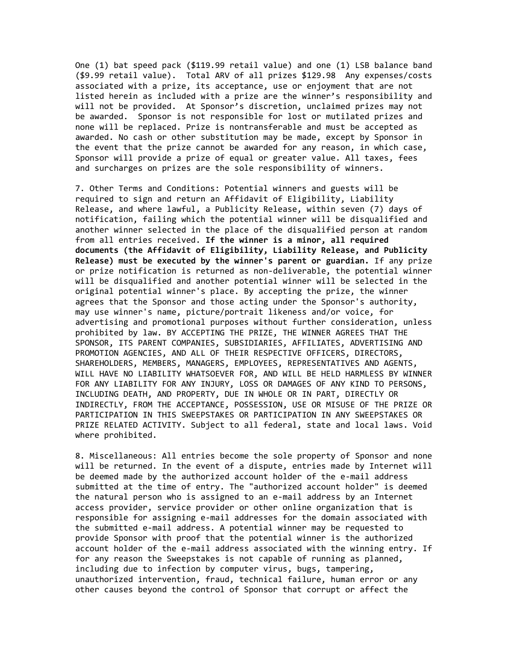One (1) bat speed pack (\$119.99 retail value) and one (1) LSB balance band (\$9.99 retail value). Total ARV of all prizes \$129.98 Any expenses/costs associated with a prize, its acceptance, use or enjoyment that are not listed herein as included with a prize are the winner's responsibility and will not be provided. At Sponsor's discretion, unclaimed prizes may not be awarded. Sponsor is not responsible for lost or mutilated prizes and none will be replaced. Prize is nontransferable and must be accepted as awarded. No cash or other substitution may be made, except by Sponsor in the event that the prize cannot be awarded for any reason, in which case, Sponsor will provide a prize of equal or greater value. All taxes, fees and surcharges on prizes are the sole responsibility of winners.

7. Other Terms and Conditions: Potential winners and guests will be required to sign and return an Affidavit of Eligibility, Liability Release, and where lawful, a Publicity Release, within seven (7) days of notification, failing which the potential winner will be disqualified and another winner selected in the place of the disqualified person at random from all entries received. **If the winner is a minor, all required documents (the Affidavit of Eligibility, Liability Release, and Publicity Release) must be executed by the winner's parent or guardian.** If any prize or prize notification is returned as non-deliverable, the potential winner will be disqualified and another potential winner will be selected in the original potential winner's place. By accepting the prize, the winner agrees that the Sponsor and those acting under the Sponsor's authority, may use winner's name, picture/portrait likeness and/or voice, for advertising and promotional purposes without further consideration, unless prohibited by law. BY ACCEPTING THE PRIZE, THE WINNER AGREES THAT THE SPONSOR, ITS PARENT COMPANIES, SUBSIDIARIES, AFFILIATES, ADVERTISING AND PROMOTION AGENCIES, AND ALL OF THEIR RESPECTIVE OFFICERS, DIRECTORS, SHAREHOLDERS, MEMBERS, MANAGERS, EMPLOYEES, REPRESENTATIVES AND AGENTS, WILL HAVE NO LIABILITY WHATSOEVER FOR, AND WILL BE HELD HARMLESS BY WINNER FOR ANY LIABILITY FOR ANY INJURY, LOSS OR DAMAGES OF ANY KIND TO PERSONS, INCLUDING DEATH, AND PROPERTY, DUE IN WHOLE OR IN PART, DIRECTLY OR INDIRECTLY, FROM THE ACCEPTANCE, POSSESSION, USE OR MISUSE OF THE PRIZE OR PARTICIPATION IN THIS SWEEPSTAKES OR PARTICIPATION IN ANY SWEEPSTAKES OR PRIZE RELATED ACTIVITY. Subject to all federal, state and local laws. Void where prohibited.

8. Miscellaneous: All entries become the sole property of Sponsor and none will be returned. In the event of a dispute, entries made by Internet will be deemed made by the authorized account holder of the e-mail address submitted at the time of entry. The "authorized account holder" is deemed the natural person who is assigned to an e-mail address by an Internet access provider, service provider or other online organization that is responsible for assigning e-mail addresses for the domain associated with the submitted e-mail address. A potential winner may be requested to provide Sponsor with proof that the potential winner is the authorized account holder of the e-mail address associated with the winning entry. If for any reason the Sweepstakes is not capable of running as planned, including due to infection by computer virus, bugs, tampering, unauthorized intervention, fraud, technical failure, human error or any other causes beyond the control of Sponsor that corrupt or affect the